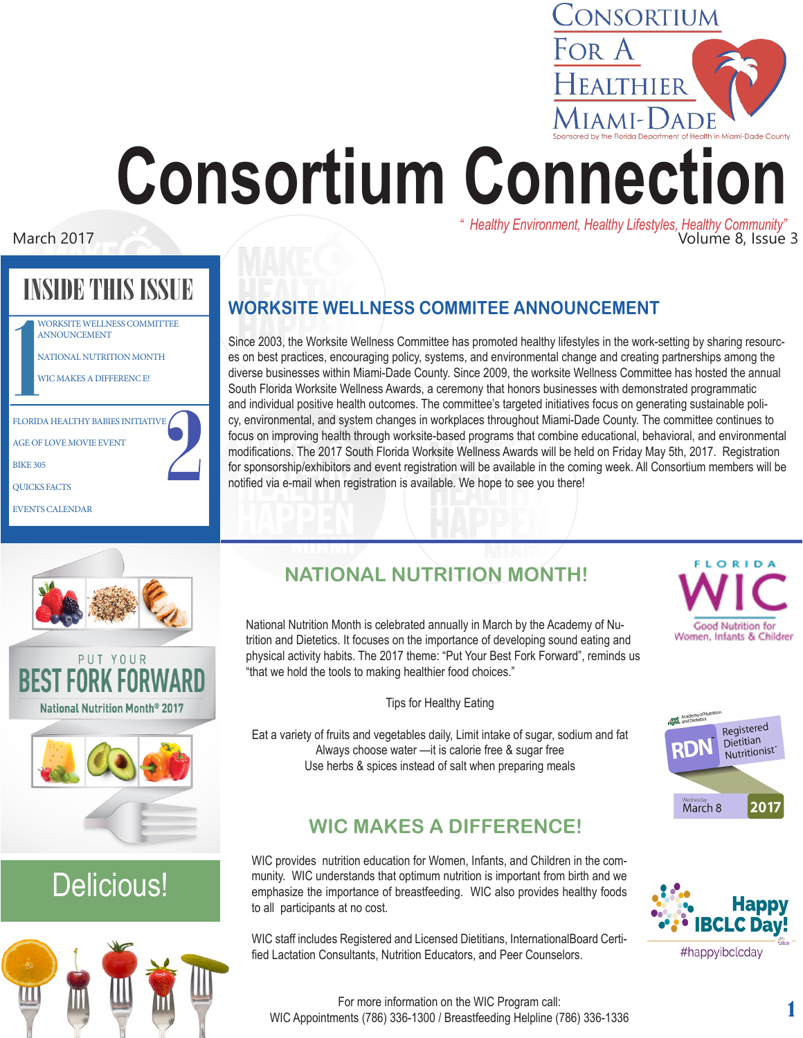# TEALTHIER Aiami-Dade **Consortium Connection** *" Healthy Environment, Healthy Lifestyles, Healthy Community"* March 2017 Volume 8, Issue 3

## INSIDE THIS ISSUE

|                                   | <b>WORKSITE WELLNESS COMMITTEE</b><br><b>ANNOUNCEMENT</b> |  |  |  |
|-----------------------------------|-----------------------------------------------------------|--|--|--|
|                                   | NATIONAL NUTRITION MONTH                                  |  |  |  |
|                                   | <b>WIC MAKES A DIFFERENCE!</b>                            |  |  |  |
|                                   |                                                           |  |  |  |
| FLORIDA HEALTHY BABIES INITIATIVE |                                                           |  |  |  |
| <b>AGE OF LOVE MOVIE EVENT</b>    |                                                           |  |  |  |
| <b>BIKE 305</b>                   |                                                           |  |  |  |
|                                   | <b>QUICKS FACTS</b>                                       |  |  |  |
| <b>EVENTS CALENDAR</b>            |                                                           |  |  |  |

## **WORKSITE WELLNESS COMMITEE ANNOUNCEMENT**

Since 2003, the Worksite Wellness Committee has promoted healthy lifestyles in the work-setting by sharing resources on best practices, encouraging policy, systems, and environmental change and creating partnerships among the diverse businesses within Miami-Dade County. Since 2009, the worksite Wellness Committee has hosted the annual South Florida Worksite Wellness Awards, a ceremony that honors businesses with demonstrated programmatic and individual positive health outcomes. The committee's targeted initiatives focus on generating sustainable policy, environmental, and system changes in workplaces throughout Miami-Dade County. The committee continues to focus on improving health through worksite-based programs that combine educational, behavioral, and environmental modifications. The 2017 South Florida Worksite Wellness Awards will be held on Friday May 5th, 2017. Registration for sponsorship/exhibitors and event registration will be available in the coming week. All Consortium members will be notified via e-mail when registration is available. We hope to see you there!





## Delicious!



## **NATIONAL NUTRITION MONTH!**

National Nutrition Month is celebrated annually in March by the Academy of Nutrition and Dietetics. It focuses on the importance of developing sound eating and physical activity habits. The 2017 theme: "Put Your Best Fork Forward", reminds us "that we hold the tools to making healthier food choices."

Tips for Healthy Eating

Eat a variety of fruits and vegetables daily, Limit intake of sugar, sodium and fat Always choose water —it is calorie free & sugar free Use herbs & spices instead of salt when preparing meals

## **WIC MAKES A DIFFERENCE!**

WIC provides nutrition education for Women, Infants, and Children in the community. WIC understands that optimum nutrition is important from birth and we emphasize the importance of breastfeeding. WIC also provides healthy foods to all participants at no cost.

WIC staff includes Registered and Licensed Dietitians, InternationalBoard Certified Lactation Consultants, Nutrition Educators, and Peer Counselors.



CONSORTIUM

For A





For more information on the WIC Program call: WIC Appointments (786) 336-1300 / Breastfeeding Helpline (786) 336-1336